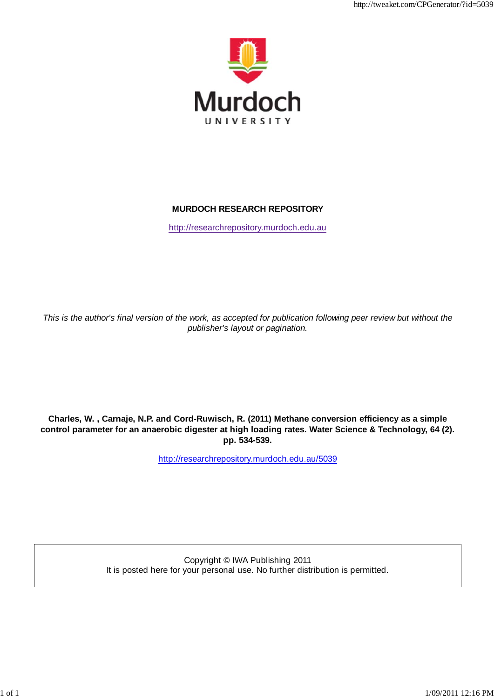

http://tweaket.com/CPGenerator/?id=5039

# **MURDOCH RESEARCH REPOSITORY**

http://researchrepository.murdoch.edu.au

*This is the author's final version of the work, as accepted for publication following peer review but without the publisher's layout or pagination.*

**Charles, W. , Carnaje, N.P. and Cord-Ruwisch, R. (2011) Methane conversion efficiency as a simple control parameter for an anaerobic digester at high loading rates. Water Science & Technology, 64 (2). pp. 534-539.**

http://researchrepository.murdoch.edu.au/5039

Copyright © IWA Publishing 2011 It is posted here for your personal use. No further distribution is permitted.

1 of 1 in 1982, and 1982 in 1982, and 1982 in 1982 in 1982, and 1982 in 1982 in 1982 in 1982 in 1982 in 1982 i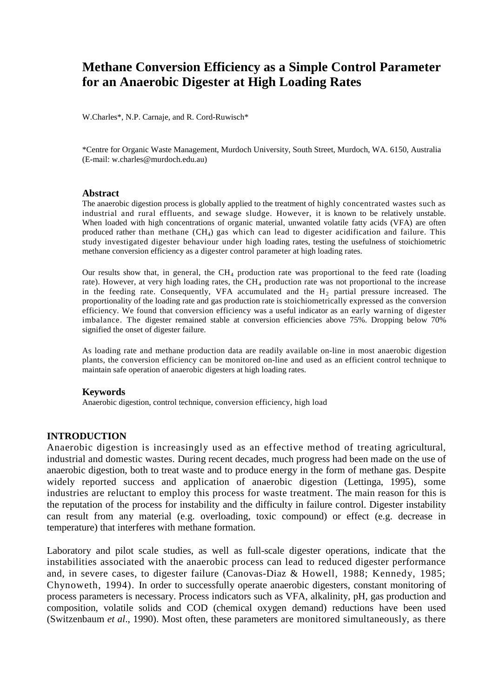# **Methane Conversion Efficiency as a Simple Control Parameter for an Anaerobic Digester at High Loading Rates**

W.Charles\*, N.P. Carnaje, and R. Cord-Ruwisch\*

\*Centre for Organic Waste Management, Murdoch University, South Street, Murdoch, WA. 6150, Australia (E-mail: [w.charles@murdoch.edu.au\)](mailto:w.charles@murdoch.edu.au)

#### **Abstract**

The anaerobic digestion process is globally applied to the treatment of highly concentrated wastes such as industrial and rural effluents, and sewage sludge. However, it is known to be relatively unstable. When loaded with high concentrations of organic material, unwanted volatile fatty acids (VFA) are often produced rather than methane  $(CH_4)$  gas which can lead to digester acidification and failure. This study investigated digester behaviour under high loading rates, testing the usefulness of stoichiometric methane conversion efficiency as a digester control parameter at high loading rates.

Our results show that, in general, the  $CH_4$  production rate was proportional to the feed rate (loading rate). However, at very high loading rates, the CH<sub>4</sub> production rate was not proportional to the increase in the feeding rate. Consequently, VFA accumulated and the  $H_2$  partial pressure increased. The proportionality of the loading rate and gas production rate is stoichiometrically expressed as the conversion efficiency. We found that conversion efficiency was a useful indicator as an early warning of digester imbalance. The digester remained stable at conversion efficiencies above 75%. Dropping below 70% signified the onset of digester failure.

As loading rate and methane production data are readily available on-line in most anaerobic digestion plants, the conversion efficiency can be monitored on-line and used as an efficient control technique to maintain safe operation of anaerobic digesters at high loading rates.

#### **Keywords**

Anaerobic digestion, control technique, conversion efficiency, high load

#### **INTRODUCTION**

Anaerobic digestion is increasingly used as an effective method of treating agricultural, industrial and domestic wastes. During recent decades, much progress had been made on the use of anaerobic digestion, both to treat waste and to produce energy in the form of methane gas. Despite widely reported success and application of anaerobic digestion (Lettinga, 1995), some industries are reluctant to employ this process for waste treatment. The main reason for this is the reputation of the process for instability and the difficulty in failure control. Digester instability can result from any material (e.g. overloading, toxic compound) or effect (e.g. decrease in temperature) that interferes with methane formation.

Laboratory and pilot scale studies, as well as full-scale digester operations, indicate that the instabilities associated with the anaerobic process can lead to reduced digester performance and, in severe cases, to digester failure (Canovas-Diaz & Howell, 1988; Kennedy, 1985; Chynoweth, 1994). In order to successfully operate anaerobic digesters, constant monitoring of process parameters is necessary. Process indicators such as VFA, alkalinity, pH, gas production and composition, volatile solids and COD (chemical oxygen demand) reductions have been used (Switzenbaum *et al*., 1990). Most often, these parameters are monitored simultaneously, as there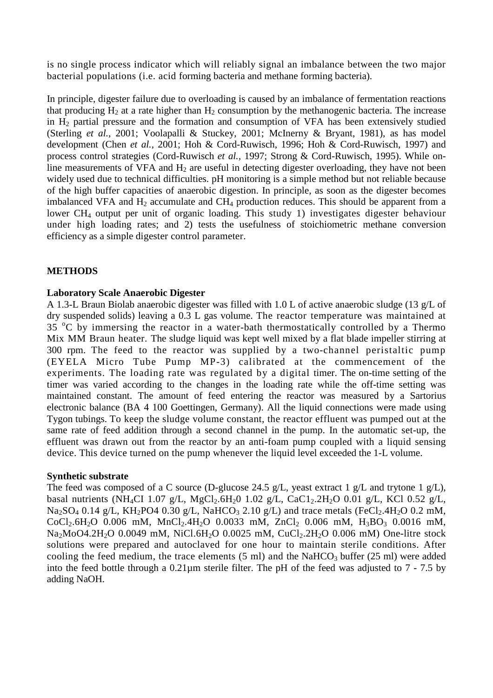is no single process indicator which will reliably signal an imbalance between the two major bacterial populations (i.e. acid forming bacteria and methane forming bacteria).

In principle, digester failure due to overloading is caused by an imbalance of fermentation reactions that producing  $H_2$  at a rate higher than  $H_2$  consumption by the methanogenic bacteria. The increase in  $H_2$  partial pressure and the formation and consumption of VFA has been extensively studied (Sterling *et al.,* 2001; Voolapalli & Stuckey, 2001; McInerny & Bryant, 1981), as has model development (Chen *et al.,* 2001; Hoh & Cord-Ruwisch, 1996; Hoh & Cord-Ruwisch, 1997) and process control strategies (Cord-Ruwisch *et al.,* 1997; Strong & Cord-Ruwisch, 1995). While online measurements of VFA and  $H_2$  are useful in detecting digester overloading, they have not been widely used due to technical difficulties. pH monitoring is a simple method but not reliable because of the high buffer capacities of anaerobic digestion. In principle, as soon as the digester becomes imbalanced VFA and  $H_2$  accumulate and CH<sub>4</sub> production reduces. This should be apparent from a lower CH4 output per unit of organic loading. This study 1) investigates digester behaviour under high loading rates; and 2) tests the usefulness of stoichiometric methane conversion efficiency as a simple digester control parameter.

# **METHODS**

## **Laboratory Scale Anaerobic Digester**

A 1.3-L Braun Biolab anaerobic digester was filled with 1.0 L of active anaerobic sludge (13 g/L of dry suspended solids) leaving a 0.3 L gas volume. The reactor temperature was maintained at  $35$  °C by immersing the reactor in a water-bath thermostatically controlled by a Thermo Mix MM Braun heater. The sludge liquid was kept well mixed by a flat blade impeller stirring at 300 rpm. The feed to the reactor was supplied by a two-channel peristaltic pump (EYELA Micro Tube Pump MP-3) calibrated at the commencement of the experiments. The loading rate was regulated by a digital timer. The on-time setting of the timer was varied according to the changes in the loading rate while the off-time setting was maintained constant. The amount of feed entering the reactor was measured by a Sartorius electronic balance (BA 4 100 Goettingen, Germany). All the liquid connections were made using Tygon tubings. To keep the sludge volume constant, the reactor effluent was pumped out at the same rate of feed addition through a second channel in the pump. In the automatic set-up, the effluent was drawn out from the reactor by an anti-foam pump coupled with a liquid sensing device. This device turned on the pump whenever the liquid level exceeded the 1-L volume.

## **Synthetic substrate**

The feed was composed of a C source (D-glucose 24.5 g/L, yeast extract 1 g/L and trytone 1 g/L), basal nutrients (NH<sub>4</sub>CI 1.07 g/L, MgCl<sub>2</sub>.6H<sub>2</sub>0 1.02 g/L, CaC1<sub>2</sub>.2H<sub>2</sub>O 0.01 g/L, KCl 0.52 g/L,  $Na<sub>2</sub>SO<sub>4</sub> 0.14 g/L$ , KH<sub>2</sub>PO4 0.30 g/L, NaHCO<sub>3</sub> 2.10 g/L) and trace metals (FeCl<sub>2</sub>.4H<sub>2</sub>O 0.2 mM,  $CoCl<sub>2</sub>.6H<sub>2</sub>O$  0.006 mM, MnCl<sub>2</sub>.4H<sub>2</sub>O 0.0033 mM, ZnCl<sub>2</sub> 0.006 mM, H<sub>3</sub>BO<sub>3</sub> 0.0016 mM, Na<sub>2</sub>MoO4.2H<sub>2</sub>O 0.0049 mM, NiCl.6H<sub>2</sub>O 0.0025 mM, CuCl<sub>2</sub>.2H<sub>2</sub>O 0.006 mM) One-litre stock solutions were prepared and autoclaved for one hour to maintain sterile conditions. After cooling the feed medium, the trace elements  $(5 \text{ ml})$  and the NaHCO<sub>3</sub> buffer  $(25 \text{ ml})$  were added into the feed bottle through a 0.21µm sterile filter. The pH of the feed was adjusted to 7 - 7.5 by adding NaOH.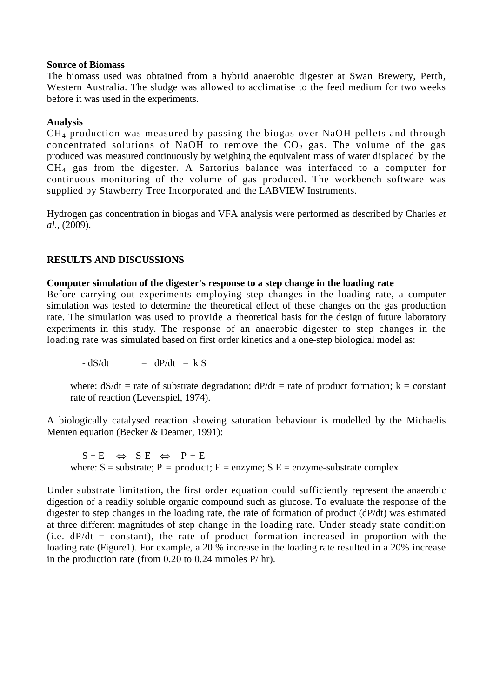#### **Source of Biomass**

The biomass used was obtained from a hybrid anaerobic digester at Swan Brewery, Perth, Western Australia. The sludge was allowed to acclimatise to the feed medium for two weeks before it was used in the experiments.

## **Analysis**

CH4 production was measured by passing the biogas over NaOH pellets and through concentrated solutions of NaOH to remove the  $CO<sub>2</sub>$  gas. The volume of the gas produced was measured continuously by weighing the equivalent mass of water displaced by the CH4 gas from the digester. A Sartorius balance was interfaced to a computer for continuous monitoring of the volume of gas produced. The workbench software was supplied by Stawberry Tree Incorporated and the LABVIEW Instruments.

Hydrogen gas concentration in biogas and VFA analysis were performed as described by Charles *et al.*, (2009).

# **RESULTS AND DISCUSSIONS**

## **Computer simulation of the digester's response to a step change in the loading rate**

Before carrying out experiments employing step changes in the loading rate, a computer simulation was tested to determine the theoretical effect of these changes on the gas production rate. The simulation was used to provide a theoretical basis for the design of future laboratory experiments in this study. The response of an anaerobic digester to step changes in the loading rate was simulated based on first order kinetics and a one-step biological model as:

 $-dS/dt = dP/dt = kS$ 

where:  $dS/dt$  = rate of substrate degradation;  $dP/dt$  = rate of product formation;  $k$  = constant rate of reaction (Levenspiel, 1974).

A biologically catalysed reaction showing saturation behaviour is modelled by the Michaelis Menten equation (Becker & Deamer, 1991):

 $S + E \Leftrightarrow SE \Leftrightarrow P + E$ where:  $S =$  substrate;  $P =$  product;  $E =$  enzyme;  $S =$  = enzyme-substrate complex

Under substrate limitation, the first order equation could sufficiently represent the anaerobic digestion of a readily soluble organic compound such as glucose. To evaluate the response of the digester to step changes in the loading rate, the rate of formation of product (dP/dt) was estimated at three different magnitudes of step change in the loading rate. Under steady state condition (i.e.  $dP/dt$  = constant), the rate of product formation increased in proportion with the loading rate (Figure1). For example, a 20 % increase in the loading rate resulted in a 20% increase in the production rate (from 0.20 to 0.24 mmoles P/ hr).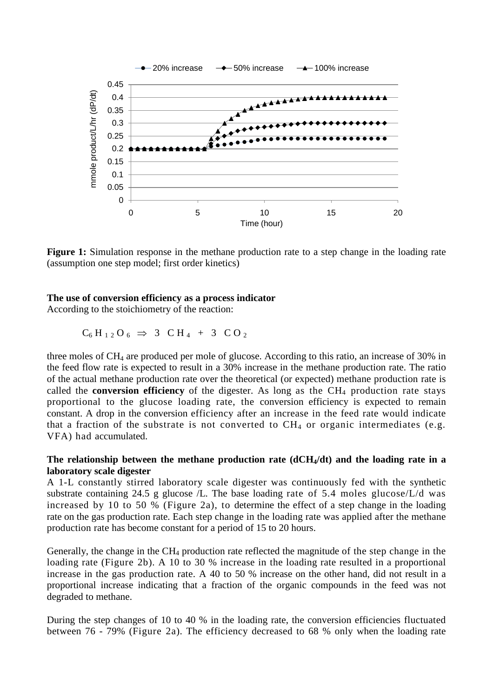

Figure 1: Simulation response in the methane production rate to a step change in the loading rate (assumption one step model; first order kinetics)

#### **The use of conversion efficiency as a process indicator**

According to the stoichiometry of the reaction:

$$
C_6 H_{12} O_6 \Rightarrow 3 \quad C H_4 + 3 \quad C O_2
$$

three moles of CH4 are produced per mole of glucose. According to this ratio, an increase of 30% in the feed flow rate is expected to result in a 30% increase in the methane production rate. The ratio of the actual methane production rate over the theoretical (or expected) methane production rate is called the **conversion efficiency** of the digester. As long as the  $CH_4$  production rate stays proportional to the glucose loading rate, the conversion efficiency is expected to remain constant. A drop in the conversion efficiency after an increase in the feed rate would indicate that a fraction of the substrate is not converted to  $CH_4$  or organic intermediates (e.g. VFA) had accumulated.

#### The relationship between the methane production rate (dCH<sub>4</sub>/dt) and the loading rate in a **laboratory scale digester**

A 1-L constantly stirred laboratory scale digester was continuously fed with the synthetic substrate containing 24.5 g glucose /L. The base loading rate of 5.4 moles glucose/L/d was increased by 10 to 50 % (Figure 2a), to determine the effect of a step change in the loading rate on the gas production rate. Each step change in the loading rate was applied after the methane production rate has become constant for a period of 15 to 20 hours.

Generally, the change in the  $CH_4$  production rate reflected the magnitude of the step change in the loading rate (Figure 2b). A 10 to 30 % increase in the loading rate resulted in a proportional increase in the gas production rate. A 40 to 50 % increase on the other hand, did not result in a proportional increase indicating that a fraction of the organic compounds in the feed was not degraded to methane.

During the step changes of 10 to 40 % in the loading rate, the conversion efficiencies fluctuated between 76 - 79% (Figure 2a). The efficiency decreased to 68 % only when the loading rate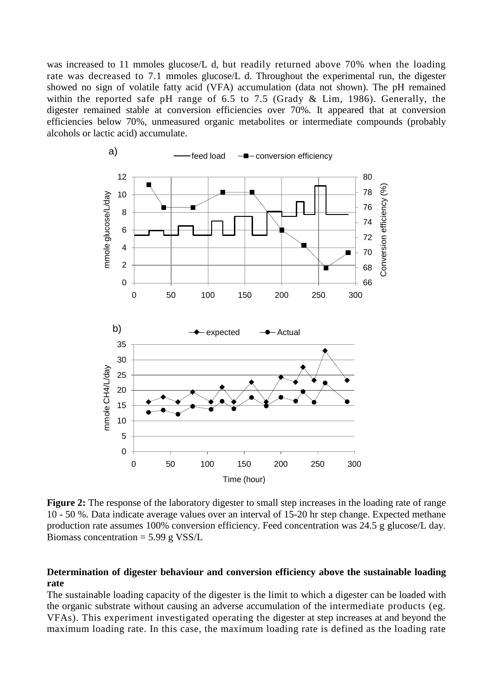was increased to 11 mmoles glucose/L d, but readily returned above 70% when the loading rate was decreased to 7.1 mmoles glucose/L d. Throughout the experimental run, the digester showed no sign of volatile fatty acid (VFA) accumulation (data not shown). The pH remained within the reported safe pH range of 6.5 to 7.5 (Grady & Lim, 1986). Generally, the digester remained stable at conversion efficiencies over 70%. It appeared that at conversion efficiencies below 70%, unmeasured organic metabolites or intermediate compounds (probably alcohols or lactic acid) accumulate.



**Figure 2:** The response of the laboratory digester to small step increases in the loading rate of range 10 - 50 %. Data indicate average values over an interval of 15-20 hr step change. Expected methane production rate assumes 100% conversion efficiency. Feed concentration was 24.5 g glucose/L day. Biomass concentration  $= 5.99$  g VSS/L

# **Determination of digester behaviour and conversion efficiency above the sustainable loading rate**

The sustainable loading capacity of the digester is the limit to which a digester can be loaded with the organic substrate without causing an adverse accumulation of the intermediate products (eg. VFAs). This experiment investigated operating the digester at step increases at and beyond the maximum loading rate. In this case, the maximum loading rate is defined as the loading rate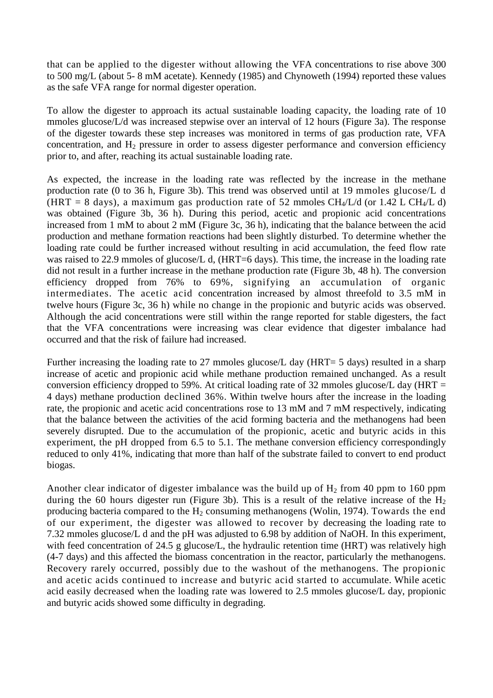that can be applied to the digester without allowing the VFA concentrations to rise above 300 to 500 mg/L (about 5- 8 mM acetate). Kennedy (1985) and Chynoweth (1994) reported these values as the safe VFA range for normal digester operation.

To allow the digester to approach its actual sustainable loading capacity, the loading rate of 10 mmoles glucose/L/d was increased stepwise over an interval of 12 hours (Figure 3a). The response of the digester towards these step increases was monitored in terms of gas production rate, VFA concentration, and  $H_2$  pressure in order to assess digester performance and conversion efficiency prior to, and after, reaching its actual sustainable loading rate.

As expected, the increase in the loading rate was reflected by the increase in the methane production rate (0 to 36 h, Figure 3b). This trend was observed until at 19 mmoles glucose/L d (HRT = 8 days), a maximum gas production rate of 52 mmoles  $CH_4/L/d$  (or 1.42 L CH $_4/L$  d) was obtained (Figure 3b, 36 h). During this period, acetic and propionic acid concentrations increased from 1 mM to about 2 mM (Figure 3c, 36 h), indicating that the balance between the acid production and methane formation reactions had been slightly disturbed. To determine whether the loading rate could be further increased without resulting in acid accumulation, the feed flow rate was raised to 22.9 mmoles of glucose/L d, (HRT=6 days). This time, the increase in the loading rate did not result in a further increase in the methane production rate (Figure 3b, 48 h). The conversion efficiency dropped from 76% to 69%, signifying an accumulation of organic intermediates. The acetic acid concentration increased by almost threefold to 3.5 mM in twelve hours (Figure 3c, 36 h) while no change in the propionic and butyric acids was observed. Although the acid concentrations were still within the range reported for stable digesters, the fact that the VFA concentrations were increasing was clear evidence that digester imbalance had occurred and that the risk of failure had increased.

Further increasing the loading rate to 27 mmoles glucose/L day (HRT= 5 days) resulted in a sharp increase of acetic and propionic acid while methane production remained unchanged. As a result conversion efficiency dropped to 59%. At critical loading rate of 32 mmoles glucose/L day (HRT  $=$ 4 days) methane production declined 36%. Within twelve hours after the increase in the loading rate, the propionic and acetic acid concentrations rose to 13 mM and 7 mM respectively, indicating that the balance between the activities of the acid forming bacteria and the methanogens had been severely disrupted. Due to the accumulation of the propionic, acetic and butyric acids in this experiment, the pH dropped from 6.5 to 5.1. The methane conversion efficiency correspondingly reduced to only 41%, indicating that more than half of the substrate failed to convert to end product biogas.

Another clear indicator of digester imbalance was the build up of  $H_2$  from 40 ppm to 160 ppm during the 60 hours digester run (Figure 3b). This is a result of the relative increase of the  $H_2$ producing bacteria compared to the  $H_2$  consuming methanogens (Wolin, 1974). Towards the end of our experiment, the digester was allowed to recover by decreasing the loading rate to 7.32 mmoles glucose/L d and the pH was adjusted to 6.98 by addition of NaOH. In this experiment, with feed concentration of 24.5 g glucose/L, the hydraulic retention time (HRT) was relatively high (4-7 days) and this affected the biomass concentration in the reactor, particularly the methanogens. Recovery rarely occurred, possibly due to the washout of the methanogens. The propionic and acetic acids continued to increase and butyric acid started to accumulate. While acetic acid easily decreased when the loading rate was lowered to 2.5 mmoles glucose/L day, propionic and butyric acids showed some difficulty in degrading.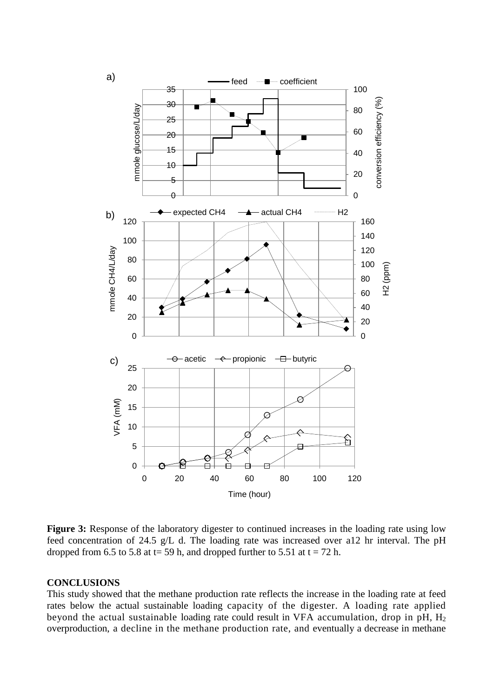

Figure 3: Response of the laboratory digester to continued increases in the loading rate using low feed concentration of 24.5 g/L d. The loading rate was increased over a12 hr interval. The pH dropped from 6.5 to 5.8 at t= 59 h, and dropped further to 5.51 at t = 72 h.

## **CONCLUSIONS**

This study showed that the methane production rate reflects the increase in the loading rate at feed rates below the actual sustainable loading capacity of the digester. A loading rate applied beyond the actual sustainable loading rate could result in VFA accumulation, drop in  $pH$ ,  $H_2$ overproduction, a decline in the methane production rate, and eventually a decrease in methane